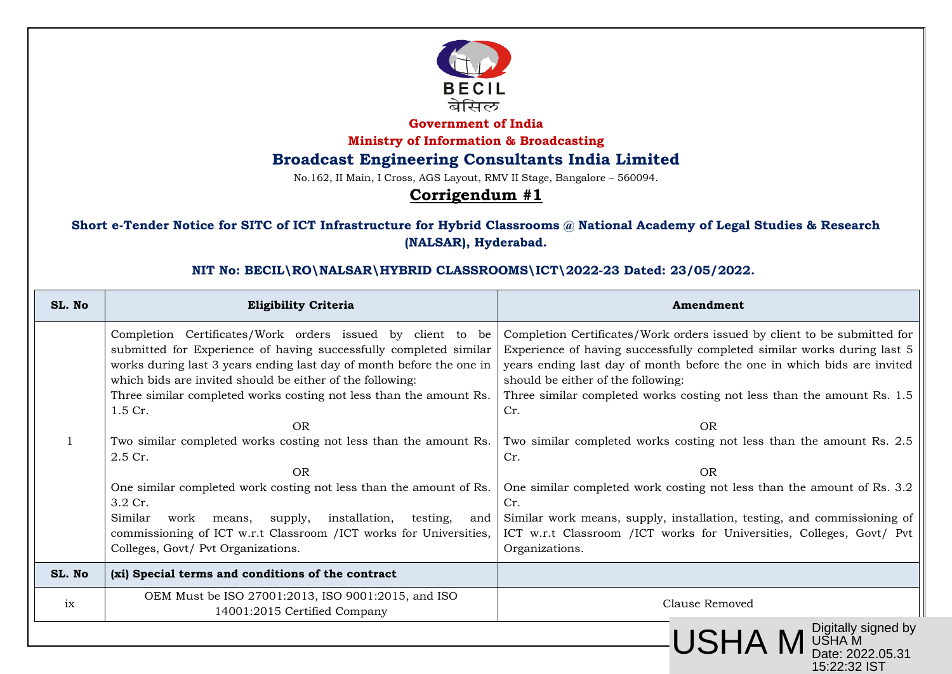

**Government of India**

**Ministry of Information & Broadcasting**

### **Broadcast Engineering Consultants India Limited**

No.162, II Main, I Cross, AGS Layout, RMV II Stage, Bangalore – 560094.

# **Corrigendum #1**

### **Short e-Tender Notice for SITC of ICT Infrastructure for Hybrid Classrooms @ National Academy of Legal Studies & Research (NALSAR), Hyderabad.**

#### **NIT No: BECIL\RO\NALSAR\HYBRID CLASSROOMS\ICT\2022-23 Dated: 23/05/2022.**

| SL. No | <b>Eligibility Criteria</b>                                                                                                                                                                                                                                                                                                                                                                                                                                                                                                                                                                                                                                                                                                            | Amendment                                                                                                                                                                                                                                                                                                                                                                                                                                                                                                                                                                                                                                                                                                     |
|--------|----------------------------------------------------------------------------------------------------------------------------------------------------------------------------------------------------------------------------------------------------------------------------------------------------------------------------------------------------------------------------------------------------------------------------------------------------------------------------------------------------------------------------------------------------------------------------------------------------------------------------------------------------------------------------------------------------------------------------------------|---------------------------------------------------------------------------------------------------------------------------------------------------------------------------------------------------------------------------------------------------------------------------------------------------------------------------------------------------------------------------------------------------------------------------------------------------------------------------------------------------------------------------------------------------------------------------------------------------------------------------------------------------------------------------------------------------------------|
|        | Completion Certificates/Work orders issued by client to be<br>submitted for Experience of having successfully completed similar<br>works during last 3 years ending last day of month before the one in<br>which bids are invited should be either of the following:<br>Three similar completed works costing not less than the amount Rs.<br>1.5 Cr.<br><b>OR</b><br>Two similar completed works costing not less than the amount Rs.<br>2.5 Cr.<br><b>OR</b><br>One similar completed work costing not less than the amount of Rs.<br>3.2 Cr.<br>Similar<br>installation,<br>supply,<br>testing,<br>work<br>means,<br>and<br>commissioning of ICT w.r.t Classroom /ICT works for Universities,<br>Colleges, Govt/ Pvt Organizations. | Completion Certificates/Work orders issued by client to be submitted for<br>Experience of having successfully completed similar works during last 5<br>years ending last day of month before the one in which bids are invited<br>should be either of the following:<br>Three similar completed works costing not less than the amount Rs. 1.5<br>Cr.<br>OR<br>Two similar completed works costing not less than the amount Rs. 2.5<br>Cr.<br><b>OR</b><br>One similar completed work costing not less than the amount of Rs. 3.2<br>Cr.<br>Similar work means, supply, installation, testing, and commissioning of<br>ICT w.r.t Classroom /ICT works for Universities, Colleges, Govt/ Pvt<br>Organizations. |
| SL. No | (xi) Special terms and conditions of the contract                                                                                                                                                                                                                                                                                                                                                                                                                                                                                                                                                                                                                                                                                      |                                                                                                                                                                                                                                                                                                                                                                                                                                                                                                                                                                                                                                                                                                               |
| ix     | OEM Must be ISO 27001:2013, ISO 9001:2015, and ISO<br>14001:2015 Certified Company                                                                                                                                                                                                                                                                                                                                                                                                                                                                                                                                                                                                                                                     | Clause Removed                                                                                                                                                                                                                                                                                                                                                                                                                                                                                                                                                                                                                                                                                                |
|        |                                                                                                                                                                                                                                                                                                                                                                                                                                                                                                                                                                                                                                                                                                                                        | M Digitally signed by<br>M USHA M<br>Date: 2022.05.31<br><b>USHA</b>                                                                                                                                                                                                                                                                                                                                                                                                                                                                                                                                                                                                                                          |

15:22:32 IST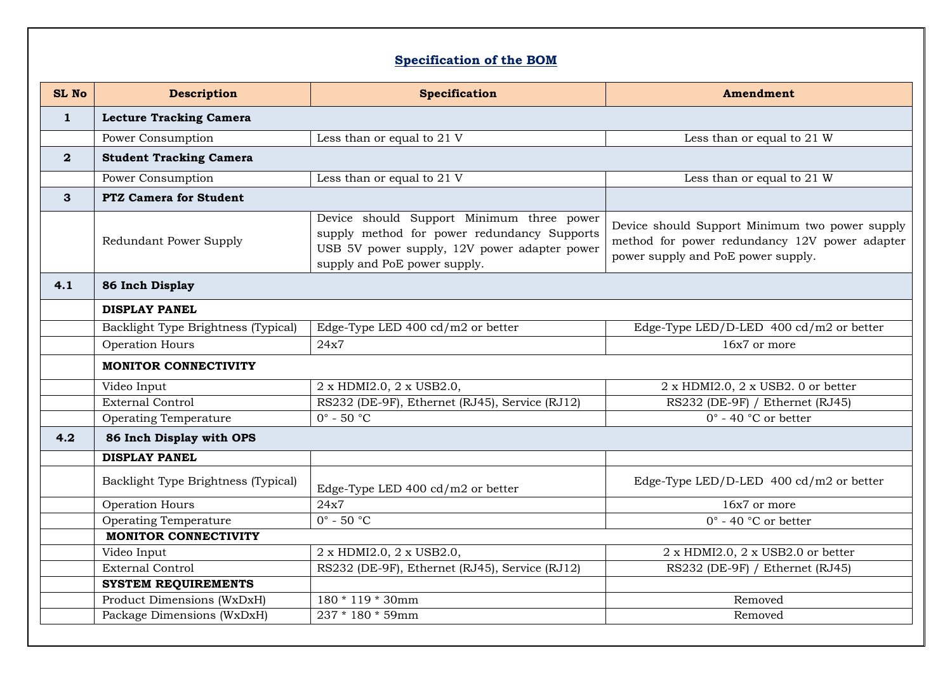# **Specification of the BOM**

| SL No        | <b>Description</b>                  | <b>Specification</b>                                                                                                                                                     | Amendment                                                                                                                             |  |  |
|--------------|-------------------------------------|--------------------------------------------------------------------------------------------------------------------------------------------------------------------------|---------------------------------------------------------------------------------------------------------------------------------------|--|--|
| $\mathbf{1}$ | <b>Lecture Tracking Camera</b>      |                                                                                                                                                                          |                                                                                                                                       |  |  |
|              | Power Consumption                   | Less than or equal to 21 V                                                                                                                                               | Less than or equal to 21 W                                                                                                            |  |  |
| $\mathbf{2}$ | <b>Student Tracking Camera</b>      |                                                                                                                                                                          |                                                                                                                                       |  |  |
|              | Power Consumption                   | Less than or equal to 21 V                                                                                                                                               | Less than or equal to 21 W                                                                                                            |  |  |
| $\mathbf{3}$ | <b>PTZ Camera for Student</b>       |                                                                                                                                                                          |                                                                                                                                       |  |  |
|              | Redundant Power Supply              | Device should Support Minimum three power<br>supply method for power redundancy Supports<br>USB 5V power supply, 12V power adapter power<br>supply and PoE power supply. | Device should Support Minimum two power supply<br>method for power redundancy 12V power adapter<br>power supply and PoE power supply. |  |  |
| 4.1          | 86 Inch Display                     |                                                                                                                                                                          |                                                                                                                                       |  |  |
|              | <b>DISPLAY PANEL</b>                |                                                                                                                                                                          |                                                                                                                                       |  |  |
|              | Backlight Type Brightness (Typical) | Edge-Type LED $400 \text{ cd}/\text{m2}$ or better                                                                                                                       | Edge-Type LED/D-LED $400 \text{ cd}/\text{m2}$ or better                                                                              |  |  |
|              | Operation Hours                     | 24x7                                                                                                                                                                     | 16x7 or more                                                                                                                          |  |  |
|              | <b>MONITOR CONNECTIVITY</b>         |                                                                                                                                                                          |                                                                                                                                       |  |  |
|              | Video Input                         | 2 x HDMI2.0, 2 x USB2.0,                                                                                                                                                 | 2 x HDMI2.0, 2 x USB2.0 or better                                                                                                     |  |  |
|              | <b>External Control</b>             | RS232 (DE-9F), Ethernet (RJ45), Service (RJ12)                                                                                                                           | RS232 (DE-9F) / Ethernet (RJ45)                                                                                                       |  |  |
|              | Operating Temperature               | $0^\circ$ - 50 $^\circ$ C                                                                                                                                                | $0^\circ$ - 40 °C or better                                                                                                           |  |  |
| 4.2          | 86 Inch Display with OPS            |                                                                                                                                                                          |                                                                                                                                       |  |  |
|              | <b>DISPLAY PANEL</b>                |                                                                                                                                                                          |                                                                                                                                       |  |  |
|              | Backlight Type Brightness (Typical) | Edge-Type LED 400 cd/m2 or better                                                                                                                                        | Edge-Type LED/D-LED $400 \text{ cd/m2}$ or better                                                                                     |  |  |
|              | Operation Hours                     | 24x7                                                                                                                                                                     | 16x7 or more                                                                                                                          |  |  |
|              | Operating Temperature               | $0^\circ$ - 50 $\overline{^\circ C}$                                                                                                                                     | $0^\circ$ - 40 °C or better                                                                                                           |  |  |
|              | <b>MONITOR CONNECTIVITY</b>         |                                                                                                                                                                          |                                                                                                                                       |  |  |
|              | Video Input                         | 2 x HDMI2.0, 2 x USB2.0,                                                                                                                                                 | 2 x HDMI2.0, 2 x USB2.0 or better                                                                                                     |  |  |
|              | External Control                    | RS232 (DE-9F), Ethernet (RJ45), Service (RJ12)                                                                                                                           | RS232 (DE-9F) / Ethernet (RJ45)                                                                                                       |  |  |
|              | <b>SYSTEM REQUIREMENTS</b>          |                                                                                                                                                                          |                                                                                                                                       |  |  |
|              | Product Dimensions (WxDxH)          | 180 * 119 * 30mm                                                                                                                                                         | Removed                                                                                                                               |  |  |
|              | Package Dimensions (WxDxH)          | 237 * 180 * 59mm                                                                                                                                                         | Removed                                                                                                                               |  |  |